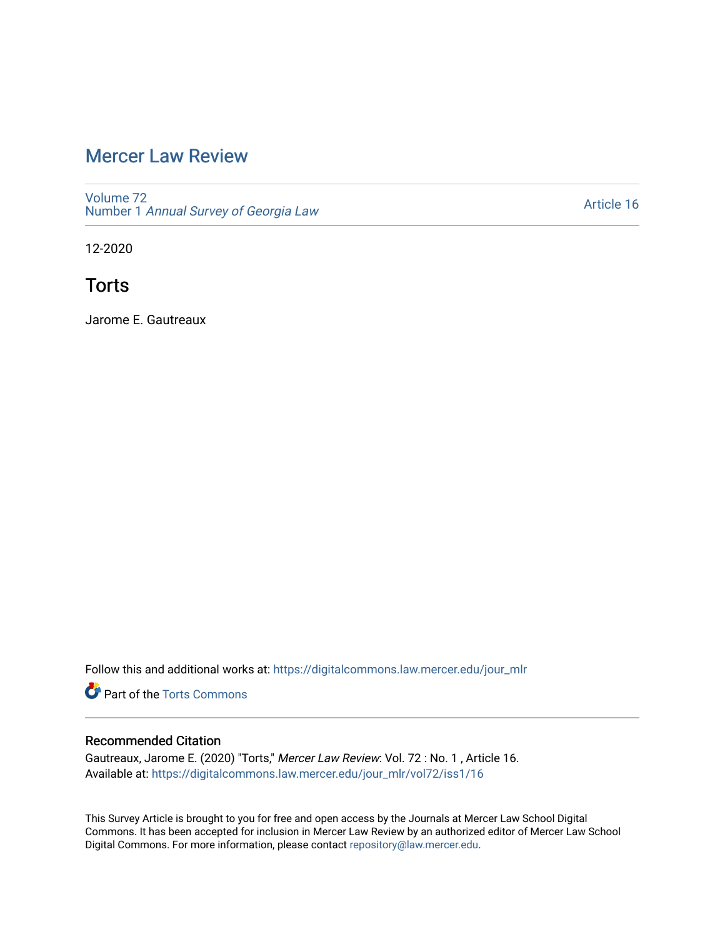# [Mercer Law Review](https://digitalcommons.law.mercer.edu/jour_mlr)

[Volume 72](https://digitalcommons.law.mercer.edu/jour_mlr/vol72) Number 1 [Annual Survey of Georgia Law](https://digitalcommons.law.mercer.edu/jour_mlr/vol72/iss1) 

[Article 16](https://digitalcommons.law.mercer.edu/jour_mlr/vol72/iss1/16) 

12-2020

**Torts** 

Jarome E. Gautreaux

Follow this and additional works at: [https://digitalcommons.law.mercer.edu/jour\\_mlr](https://digitalcommons.law.mercer.edu/jour_mlr?utm_source=digitalcommons.law.mercer.edu%2Fjour_mlr%2Fvol72%2Fiss1%2F16&utm_medium=PDF&utm_campaign=PDFCoverPages)

**C** Part of the [Torts Commons](http://network.bepress.com/hgg/discipline/913?utm_source=digitalcommons.law.mercer.edu%2Fjour_mlr%2Fvol72%2Fiss1%2F16&utm_medium=PDF&utm_campaign=PDFCoverPages)

# Recommended Citation

Gautreaux, Jarome E. (2020) "Torts," Mercer Law Review: Vol. 72 : No. 1 , Article 16. Available at: [https://digitalcommons.law.mercer.edu/jour\\_mlr/vol72/iss1/16](https://digitalcommons.law.mercer.edu/jour_mlr/vol72/iss1/16?utm_source=digitalcommons.law.mercer.edu%2Fjour_mlr%2Fvol72%2Fiss1%2F16&utm_medium=PDF&utm_campaign=PDFCoverPages) 

This Survey Article is brought to you for free and open access by the Journals at Mercer Law School Digital Commons. It has been accepted for inclusion in Mercer Law Review by an authorized editor of Mercer Law School Digital Commons. For more information, please contact [repository@law.mercer.edu](mailto:repository@law.mercer.edu).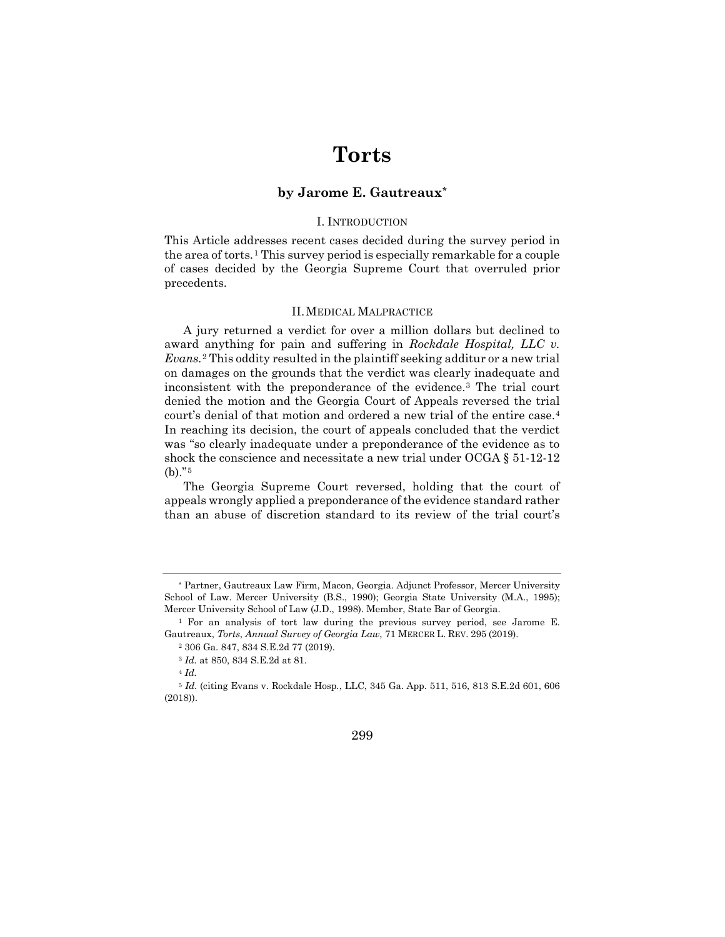# **Torts**

# **by Jarome E. Gautreaux[\\*](#page-1-0)**

# I. INTRODUCTION

This Article addresses recent cases decided during the survey period in the area of torts.[1](#page-1-1) This survey period is especially remarkable for a couple of cases decided by the Georgia Supreme Court that overruled prior precedents.

### II.MEDICAL MALPRACTICE

A jury returned a verdict for over a million dollars but declined to award anything for pain and suffering in *Rockdale Hospital, LLC v. Evans.*[2](#page-1-2) This oddity resulted in the plaintiff seeking additur or a new trial on damages on the grounds that the verdict was clearly inadequate and inconsistent with the preponderance of the evidence.[3](#page-1-3) The trial court denied the motion and the Georgia Court of Appeals reversed the trial court's denial of that motion and ordered a new trial of the entire case.[4](#page-1-4) In reaching its decision, the court of appeals concluded that the verdict was "so clearly inadequate under a preponderance of the evidence as to shock the conscience and necessitate a new trial under  $\text{OCGA} \S 51-12-12$ (b)."[5](#page-1-5)

The Georgia Supreme Court reversed, holding that the court of appeals wrongly applied a preponderance of the evidence standard rather than an abuse of discretion standard to its review of the trial court's

<span id="page-1-5"></span><span id="page-1-4"></span><span id="page-1-3"></span><sup>5</sup> *Id.* (citing Evans v. Rockdale Hosp*.*, LLC, 345 Ga. App. 511, 516, 813 S.E.2d 601, 606 (2018)).



<span id="page-1-0"></span><sup>\*</sup> Partner, Gautreaux Law Firm, Macon, Georgia. Adjunct Professor, Mercer University School of Law. Mercer University (B.S., 1990); Georgia State University (M.A., 1995); Mercer University School of Law (J.D., 1998). Member, State Bar of Georgia.

<span id="page-1-2"></span><span id="page-1-1"></span><sup>1</sup> For an analysis of tort law during the previous survey period, see Jarome E. Gautreaux, *Torts*, *Annual Survey of Georgia Law*, 71 MERCER L. REV. 295 (2019).

<sup>2</sup> 306 Ga. 847, 834 S.E.2d 77 (2019).

<sup>3</sup> *Id.* at 850, 834 S.E.2d at 81.

<sup>4</sup> *Id.*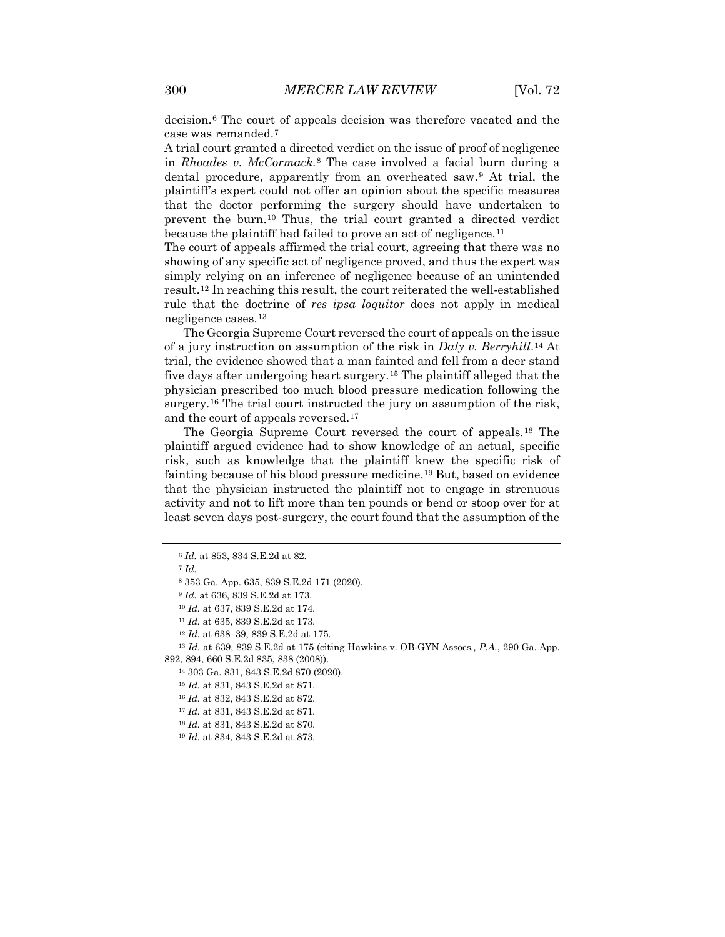decision.[6](#page-2-0) The court of appeals decision was therefore vacated and the case was remanded.[7](#page-2-1)

A trial court granted a directed verdict on the issue of proof of negligence in *Rhoades v. McCormack*.[8](#page-2-2) The case involved a facial burn during a dental procedure, apparently from an overheated saw.[9](#page-2-3) At trial, the plaintiff's expert could not offer an opinion about the specific measures that the doctor performing the surgery should have undertaken to prevent the burn.[10](#page-2-4) Thus, the trial court granted a directed verdict because the plaintiff had failed to prove an act of negligence.<sup>[11](#page-2-5)</sup>

The court of appeals affirmed the trial court, agreeing that there was no showing of any specific act of negligence proved, and thus the expert was simply relying on an inference of negligence because of an unintended result.[12](#page-2-6) In reaching this result, the court reiterated the well-established rule that the doctrine of *res ipsa loquitor* does not apply in medical negligence cases.[13](#page-2-7)

The Georgia Supreme Court reversed the court of appeals on the issue of a jury instruction on assumption of the risk in *Daly v. Berryhill*.[14](#page-2-8) At trial, the evidence showed that a man fainted and fell from a deer stand five days after undergoing heart surgery.[15](#page-2-9) The plaintiff alleged that the physician prescribed too much blood pressure medication following the surgery.<sup>[16](#page-2-10)</sup> The trial court instructed the jury on assumption of the risk, and the court of appeals reversed.[17](#page-2-11)

The Georgia Supreme Court reversed the court of appeals.[18](#page-2-12) The plaintiff argued evidence had to show knowledge of an actual, specific risk, such as knowledge that the plaintiff knew the specific risk of fainting because of his blood pressure medicine.<sup>[19](#page-2-13)</sup> But, based on evidence that the physician instructed the plaintiff not to engage in strenuous activity and not to lift more than ten pounds or bend or stoop over for at least seven days post-surgery, the court found that the assumption of the

<span id="page-2-2"></span><sup>7</sup> *Id.*

<span id="page-2-11"></span><span id="page-2-10"></span><span id="page-2-9"></span><span id="page-2-8"></span><span id="page-2-7"></span><span id="page-2-6"></span><span id="page-2-5"></span><span id="page-2-4"></span><span id="page-2-3"></span><sup>13</sup> *Id.* at 639, 839 S.E.2d at 175 (citing Hawkins v. OB-GYN Assocs*., P.A.*, 290 Ga. App. 892, 894, 660 S.E.2d 835, 838 (2008)).

<sup>14</sup> 303 Ga. 831, 843 S.E.2d 870 (2020).

<sup>15</sup> *Id.* at 831, 843 S.E.2d at 871.

<span id="page-2-1"></span><span id="page-2-0"></span><sup>6</sup> *Id.* at 853, 834 S.E.2d at 82.

<sup>8</sup> 353 Ga. App. 635, 839 S.E.2d 171 (2020).

<sup>9</sup> *Id.* at 636, 839 S.E.2d at 173.

<sup>10</sup> *Id.* at 637, 839 S.E.2d at 174.

<sup>11</sup> *Id.* at 635, 839 S.E.2d at 173.

<sup>12</sup> *Id.* at 638–39, 839 S.E.2d at 175.

<sup>16</sup> *Id.* at 832, 843 S.E.2d at 872.

<sup>17</sup> *Id.* at 831, 843 S.E.2d at 871.

<span id="page-2-12"></span><sup>18</sup> *Id.* at 831, 843 S.E.2d at 870.

<span id="page-2-13"></span><sup>19</sup> *Id.* at 834, 843 S.E.2d at 873.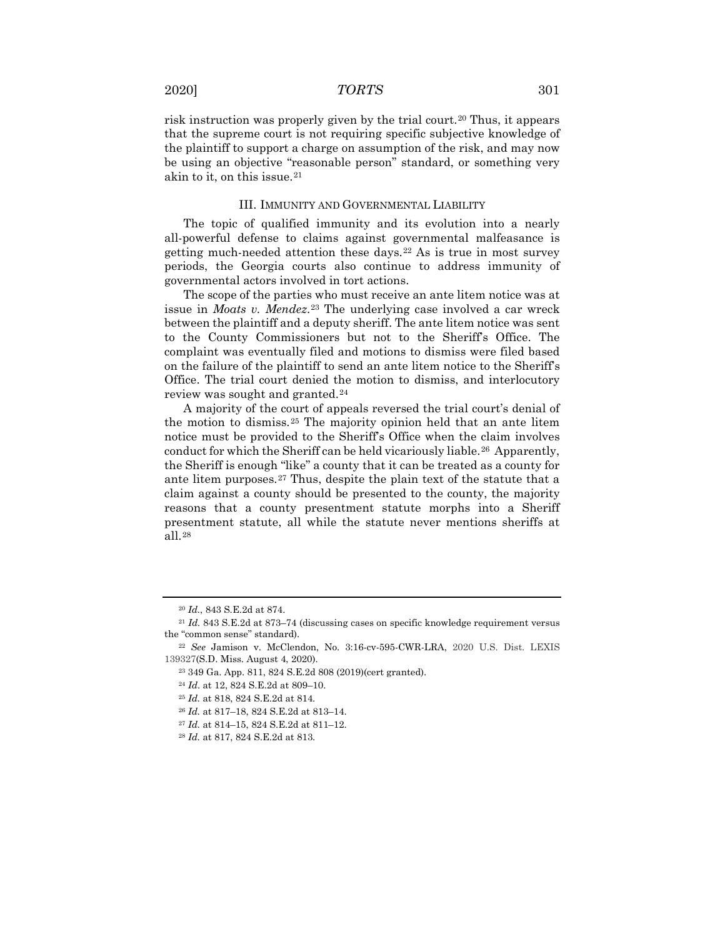risk instruction was properly given by the trial court.[20](#page-3-0) Thus, it appears that the supreme court is not requiring specific subjective knowledge of the plaintiff to support a charge on assumption of the risk, and may now be using an objective "reasonable person" standard, or something very akin to it, on this issue.<sup>[21](#page-3-1)</sup>

#### III. IMMUNITY AND GOVERNMENTAL LIABILITY

The topic of qualified immunity and its evolution into a nearly all-powerful defense to claims against governmental malfeasance is getting much-needed attention these days.<sup>[22](#page-3-2)</sup> As is true in most survey periods, the Georgia courts also continue to address immunity of governmental actors involved in tort actions.

The scope of the parties who must receive an ante litem notice was at issue in *Moats v. Mendez*.[23](#page-3-3) The underlying case involved a car wreck between the plaintiff and a deputy sheriff. The ante litem notice was sent to the County Commissioners but not to the Sheriff's Office. The complaint was eventually filed and motions to dismiss were filed based on the failure of the plaintiff to send an ante litem notice to the Sheriff's Office. The trial court denied the motion to dismiss, and interlocutory review was sought and granted.<sup>[24](#page-3-4)</sup>

A majority of the court of appeals reversed the trial court's denial of the motion to dismiss.[25](#page-3-5) The majority opinion held that an ante litem notice must be provided to the Sheriff's Office when the claim involves conduct for which the Sheriff can be held vicariously liable.<sup>26</sup> Apparently, the Sheriff is enough "like" a county that it can be treated as a county for ante litem purposes.<sup>[27](#page-3-7)</sup> Thus, despite the plain text of the statute that a claim against a county should be presented to the county, the majority reasons that a county presentment statute morphs into a Sheriff presentment statute, all while the statute never mentions sheriffs at all.[28](#page-3-8)

<sup>20</sup> *Id.*, 843 S.E.2d at 874.

<span id="page-3-1"></span><span id="page-3-0"></span><sup>21</sup> *Id.* 843 S.E.2d at 873–74 (discussing cases on specific knowledge requirement versus the "common sense" standard).

<span id="page-3-6"></span><span id="page-3-5"></span><span id="page-3-4"></span><span id="page-3-3"></span><span id="page-3-2"></span><sup>22</sup> *See* Jamison v. McClendon, No. 3:16-cv-595-CWR-LRA, 2020 U.S. Dist. LEXIS 139327(S.D. Miss. August 4, 2020).

<sup>23</sup> 349 Ga. App. 811, 824 S.E.2d 808 (2019)(cert granted).

<sup>24</sup> *Id*. at 12, 824 S.E.2d at 809–10.

<sup>25</sup> *Id.* at 818, 824 S.E.2d at 814.

<sup>26</sup> *Id.* at 817–18, 824 S.E.2d at 813–14.

<span id="page-3-7"></span><sup>27</sup> *Id.* at 814–15, 824 S.E.2d at 811–12.

<span id="page-3-8"></span><sup>28</sup> *Id.* at 817, 824 S.E.2d at 813.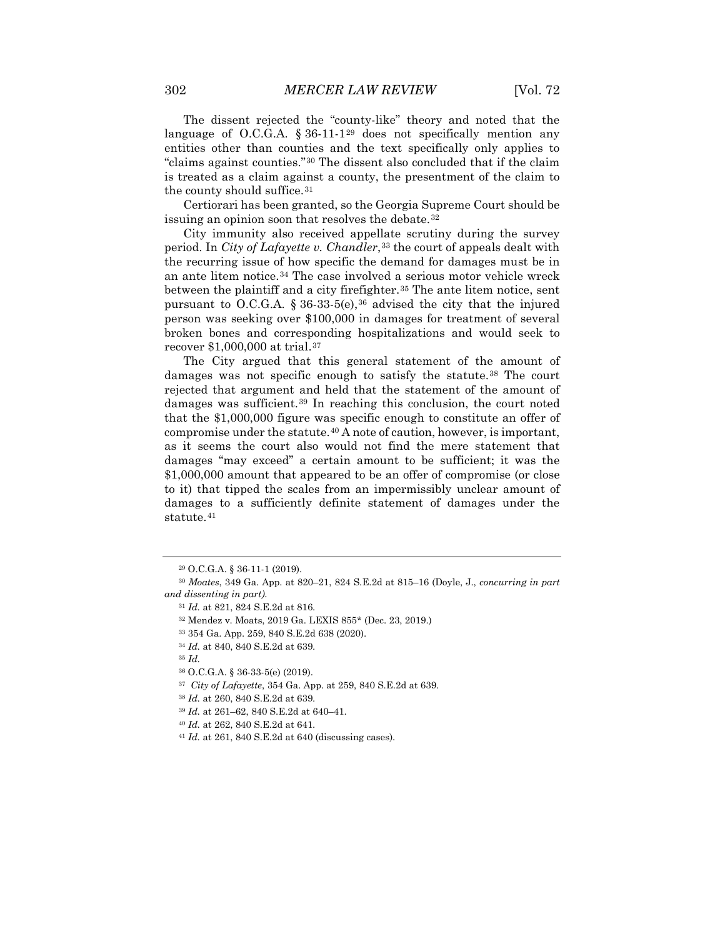The dissent rejected the "county-like" theory and noted that the language of O.C.G.A.  $\S 36-11-129$  $\S 36-11-129$  does not specifically mention any entities other than counties and the text specifically only applies to "claims against counties."[30](#page-4-1) The dissent also concluded that if the claim is treated as a claim against a county, the presentment of the claim to the county should suffice.[31](#page-4-2)

Certiorari has been granted, so the Georgia Supreme Court should be issuing an opinion soon that resolves the debate.<sup>[32](#page-4-3)</sup>

City immunity also received appellate scrutiny during the survey period. In *City of Lafayette v. Chandler*,[33](#page-4-4) the court of appeals dealt with the recurring issue of how specific the demand for damages must be in an ante litem notice.[34](#page-4-5) The case involved a serious motor vehicle wreck between the plaintiff and a city firefighter.<sup>[35](#page-4-6)</sup> The ante litem notice, sent pursuant to O.C.G.A. § [36](#page-4-7)-33-5(e),<sup>36</sup> advised the city that the injured person was seeking over \$100,000 in damages for treatment of several broken bones and corresponding hospitalizations and would seek to recover \$1,000,000 at trial.[37](#page-4-8)

The City argued that this general statement of the amount of damages was not specific enough to satisfy the statute.<sup>[38](#page-4-9)</sup> The court rejected that argument and held that the statement of the amount of damages was sufficient.[39](#page-4-10) In reaching this conclusion, the court noted that the \$1,000,000 figure was specific enough to constitute an offer of compromise under the statute.[40](#page-4-11) A note of caution, however, is important, as it seems the court also would not find the mere statement that damages "may exceed" a certain amount to be sufficient; it was the \$1,000,000 amount that appeared to be an offer of compromise (or close to it) that tipped the scales from an impermissibly unclear amount of damages to a sufficiently definite statement of damages under the statute.<sup>[41](#page-4-12)</sup>

<sup>29</sup> O.C.G.A. § 36-11-1 (2019).

<span id="page-4-5"></span><span id="page-4-4"></span><span id="page-4-3"></span><span id="page-4-2"></span><span id="page-4-1"></span><span id="page-4-0"></span><sup>30</sup> *Moates*, 349 Ga. App. at 820–21, 824 S.E.2d at 815–16 (Doyle, J., *concurring in part and dissenting in part)*.

<sup>31</sup> *Id.* at 821, 824 S.E.2d at 816.

<sup>32</sup> Mendez v. Moats, 2019 Ga. LEXIS 855\* (Dec. 23, 2019.)

<sup>33</sup> 354 Ga. App. 259, 840 S.E.2d 638 (2020).

<sup>34</sup> *Id.* at 840, 840 S.E.2d at 639.

<span id="page-4-7"></span><span id="page-4-6"></span><sup>35</sup> *Id.*

<sup>36</sup> O.C.G.A. § 36-33-5(e) (2019).

<span id="page-4-8"></span><sup>37</sup> *City of Lafayette*, 354 Ga. App. at 259, 840 S.E.2d at 639.

<span id="page-4-10"></span><span id="page-4-9"></span><sup>38</sup> *Id.* at 260, 840 S.E.2d at 639.

<sup>39</sup> *Id.* at 261–62, 840 S.E.2d at 640–41.

<span id="page-4-11"></span><sup>40</sup> *Id.* at 262, 840 S.E.2d at 641.

<span id="page-4-12"></span><sup>41</sup> *Id.* at 261, 840 S.E.2d at 640 (discussing cases).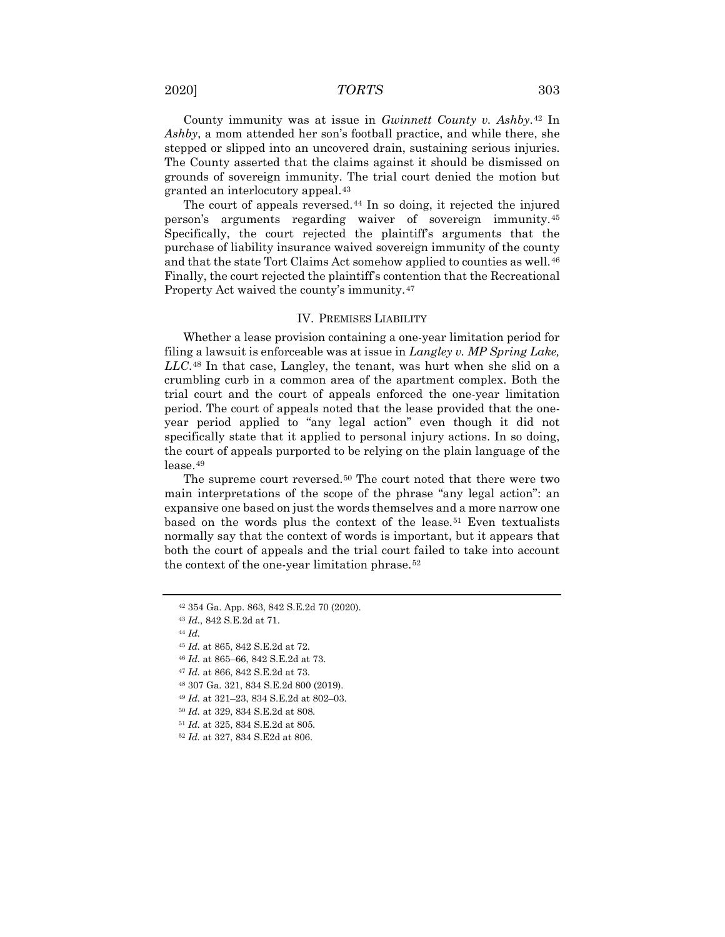2020] *TORTS* 303

County immunity was at issue in *Gwinnett County v. Ashby*.[42](#page-5-0) In *Ashby*, a mom attended her son's football practice, and while there, she stepped or slipped into an uncovered drain, sustaining serious injuries. The County asserted that the claims against it should be dismissed on grounds of sovereign immunity. The trial court denied the motion but granted an interlocutory appeal.[43](#page-5-1)

The court of appeals reversed.<sup>[44](#page-5-2)</sup> In so doing, it rejected the injured person's arguments regarding waiver of sovereign immunity.[45](#page-5-3) Specifically, the court rejected the plaintiff's arguments that the purchase of liability insurance waived sovereign immunity of the county and that the state Tort Claims Act somehow applied to counties as well.<sup>[46](#page-5-4)</sup> Finally, the court rejected the plaintiff's contention that the Recreational Property Act waived the county's immunity.[47](#page-5-5)

## IV. PREMISES LIABILITY

Whether a lease provision containing a one-year limitation period for filing a lawsuit is enforceable was at issue in *Langley v. MP Spring Lake, LLC*.[48](#page-5-6) In that case, Langley, the tenant, was hurt when she slid on a crumbling curb in a common area of the apartment complex. Both the trial court and the court of appeals enforced the one-year limitation period. The court of appeals noted that the lease provided that the oneyear period applied to "any legal action" even though it did not specifically state that it applied to personal injury actions. In so doing, the court of appeals purported to be relying on the plain language of the lease.[49](#page-5-7)

The supreme court reversed.<sup>[50](#page-5-8)</sup> The court noted that there were two main interpretations of the scope of the phrase "any legal action": an expansive one based on just the words themselves and a more narrow one based on the words plus the context of the lease.<sup>[51](#page-5-9)</sup> Even textualists normally say that the context of words is important, but it appears that both the court of appeals and the trial court failed to take into account the context of the one-year limitation phrase.[52](#page-5-10)

<span id="page-5-1"></span><span id="page-5-0"></span><sup>42</sup> 354 Ga. App. 863, 842 S.E.2d 70 (2020).

<sup>43</sup> *Id.*, 842 S.E.2d at 71.

<span id="page-5-2"></span><sup>44</sup> *Id.*

<span id="page-5-4"></span><span id="page-5-3"></span><sup>45</sup> *Id.* at 865, 842 S.E.2d at 72.

<sup>46</sup> *Id.* at 865–66, 842 S.E.2d at 73.

<span id="page-5-5"></span><sup>47</sup> *Id.* at 866, 842 S.E.2d at 73.

<span id="page-5-6"></span><sup>48</sup> 307 Ga. 321, 834 S.E.2d 800 (2019).

<span id="page-5-7"></span><sup>49</sup> *Id.* at 321–23, 834 S.E.2d at 802–03.

<sup>50</sup> *Id.* at 329, 834 S.E.2d at 808.

<span id="page-5-10"></span><span id="page-5-9"></span><span id="page-5-8"></span><sup>51</sup> *Id.* at 325, 834 S.E.2d at 805.

<sup>52</sup> *Id.* at 327, 834 S.E2d at 806.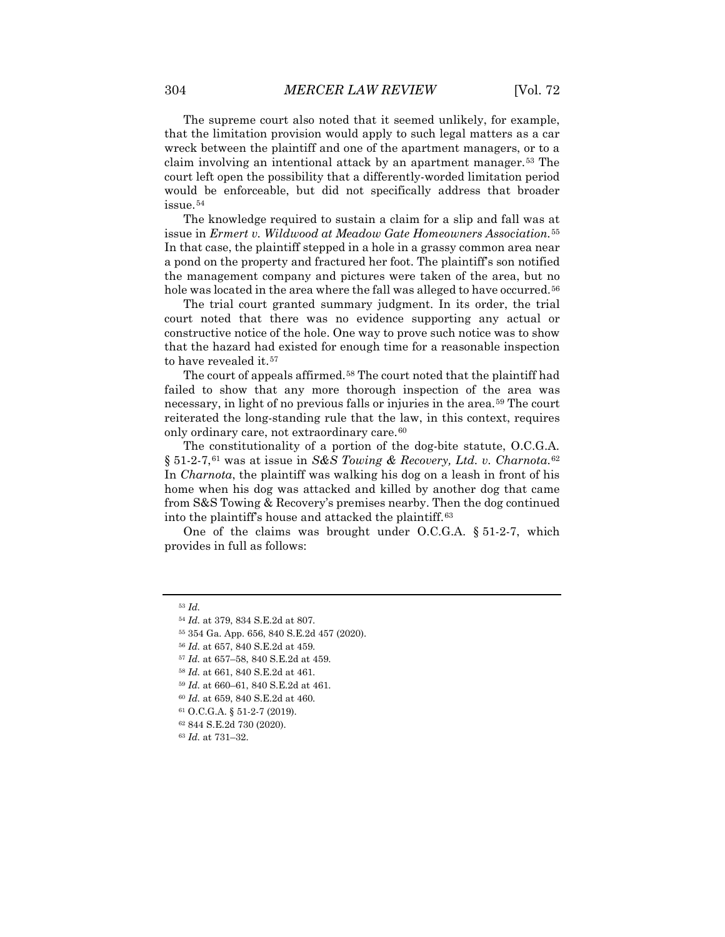The supreme court also noted that it seemed unlikely, for example, that the limitation provision would apply to such legal matters as a car wreck between the plaintiff and one of the apartment managers, or to a claim involving an intentional attack by an apartment manager.<sup>[53](#page-6-0)</sup> The court left open the possibility that a differently-worded limitation period would be enforceable, but did not specifically address that broader issue.[54](#page-6-1)

The knowledge required to sustain a claim for a slip and fall was at issue in *Ermert v. Wildwood at Meadow Gate Homeowners Association.*[55](#page-6-2) In that case, the plaintiff stepped in a hole in a grassy common area near a pond on the property and fractured her foot. The plaintiff's son notified the management company and pictures were taken of the area, but no hole was located in the area where the fall was alleged to have occurred.<sup>[56](#page-6-3)</sup>

The trial court granted summary judgment. In its order, the trial court noted that there was no evidence supporting any actual or constructive notice of the hole. One way to prove such notice was to show that the hazard had existed for enough time for a reasonable inspection to have revealed it.<sup>[57](#page-6-4)</sup>

The court of appeals affirmed.<sup>[58](#page-6-5)</sup> The court noted that the plaintiff had failed to show that any more thorough inspection of the area was necessary, in light of no previous falls or injuries in the area.[59](#page-6-6) The court reiterated the long-standing rule that the law, in this context, requires only ordinary care, not extraordinary care.[60](#page-6-7)

The constitutionality of a portion of the dog-bite statute, O.C.G.A. § 51-2-7,<sup>[61](#page-6-8)</sup> was at issue in *S&S Towing & Recovery, Ltd. v. Charnota*.<sup>[62](#page-6-9)</sup> In *Charnota*, the plaintiff was walking his dog on a leash in front of his home when his dog was attacked and killed by another dog that came from S&S Towing & Recovery's premises nearby. Then the dog continued into the plaintiff's house and attacked the plaintiff.[63](#page-6-10)

One of the claims was brought under O.C.G.A. § 51-2-7, which provides in full as follows:

<span id="page-6-3"></span><span id="page-6-2"></span><span id="page-6-1"></span><span id="page-6-0"></span><sup>53</sup> *Id.* 

<sup>54</sup> *Id.* at 379, 834 S.E.2d at 807.

<sup>55</sup> 354 Ga. App. 656, 840 S.E.2d 457 (2020).

<span id="page-6-4"></span><sup>56</sup> *Id.* at 657, 840 S.E.2d at 459.

<sup>57</sup> *Id.* at 657–58, 840 S.E.2d at 459.

<sup>58</sup> *Id.* at 661, 840 S.E.2d at 461.

<span id="page-6-6"></span><span id="page-6-5"></span><sup>59</sup> *Id.* at 660–61, 840 S.E.2d at 461.

<span id="page-6-7"></span><sup>60</sup> *Id.* at 659, 840 S.E.2d at 460.

<span id="page-6-9"></span><span id="page-6-8"></span><sup>61</sup> O.C.G.A. § 51-2-7 (2019).

<sup>62</sup> 844 S.E.2d 730 (2020).

<span id="page-6-10"></span><sup>63</sup> *Id.* at 731–32.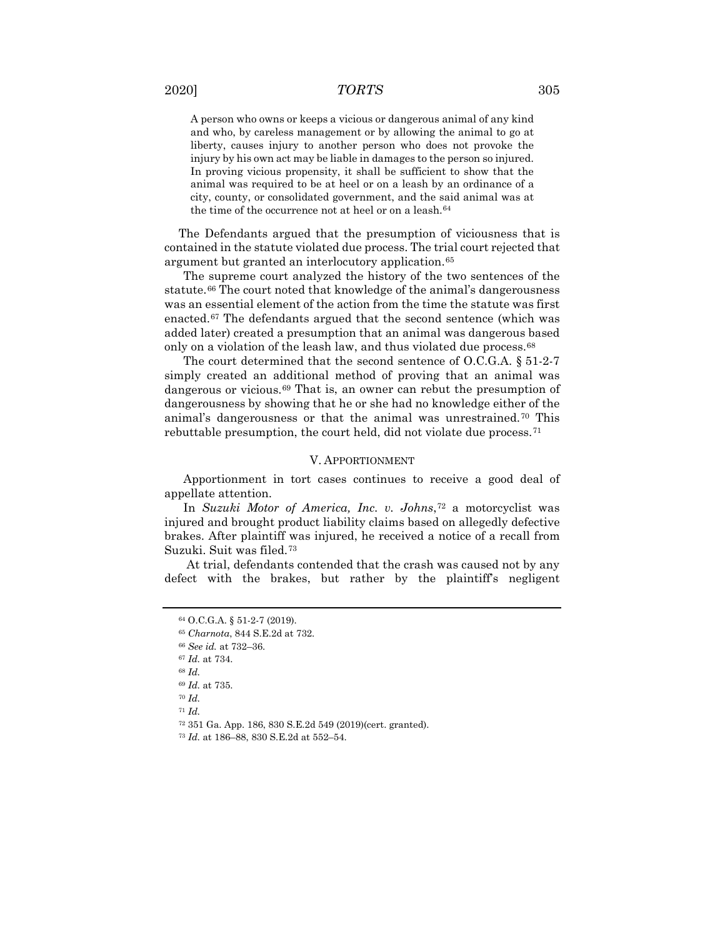A person who owns or keeps a vicious or dangerous animal of any kind and who, by careless management or by allowing the animal to go at liberty, causes injury to another person who does not provoke the injury by his own act may be liable in damages to the person so injured. In proving vicious propensity, it shall be sufficient to show that the animal was required to be at heel or on a leash by an ordinance of a city, county, or consolidated government, and the said animal was at the time of the occurrence not at heel or on a leash.<sup>[64](#page-7-0)</sup>

The Defendants argued that the presumption of viciousness that is contained in the statute violated due process. The trial court rejected that argument but granted an interlocutory application.[65](#page-7-1)

The supreme court analyzed the history of the two sentences of the statute.[66](#page-7-2) The court noted that knowledge of the animal's dangerousness was an essential element of the action from the time the statute was first enacted.[67](#page-7-3) The defendants argued that the second sentence (which was added later) created a presumption that an animal was dangerous based only on a violation of the leash law, and thus violated due process.<sup>[68](#page-7-4)</sup>

The court determined that the second sentence of O.C.G.A. § 51-2-7 simply created an additional method of proving that an animal was dangerous or vicious.<sup>[69](#page-7-5)</sup> That is, an owner can rebut the presumption of dangerousness by showing that he or she had no knowledge either of the animal's dangerousness or that the animal was unrestrained.[70](#page-7-6) This rebuttable presumption, the court held, did not violate due process.[71](#page-7-7)

# V. APPORTIONMENT

Apportionment in tort cases continues to receive a good deal of appellate attention.

In *Suzuki Motor of America, Inc. v. Johns*,[72](#page-7-8) a motorcyclist was injured and brought product liability claims based on allegedly defective brakes. After plaintiff was injured, he received a notice of a recall from Suzuki. Suit was filed.[73](#page-7-9)

<span id="page-7-1"></span><span id="page-7-0"></span>At trial, defendants contended that the crash was caused not by any defect with the brakes, but rather by the plaintiff's negligent

<sup>64</sup> O.C.G.A. § 51-2-7 (2019).

<sup>65</sup> *Charnota*, 844 S.E.2d at 732.

<sup>66</sup> *See id.* at 732–36.

<span id="page-7-4"></span><span id="page-7-3"></span><span id="page-7-2"></span><sup>67</sup> *Id.* at 734.

<span id="page-7-5"></span><sup>68</sup> *Id.*

<sup>69</sup> *Id.* at 735.

<span id="page-7-6"></span><sup>70</sup> *Id.*

<span id="page-7-7"></span><sup>71</sup> *Id.*

<span id="page-7-8"></span><sup>72</sup> 351 Ga. App. 186, 830 S.E.2d 549 (2019)(cert. granted).

<span id="page-7-9"></span><sup>73</sup> *Id.* at 186–88, 830 S.E.2d at 552–54.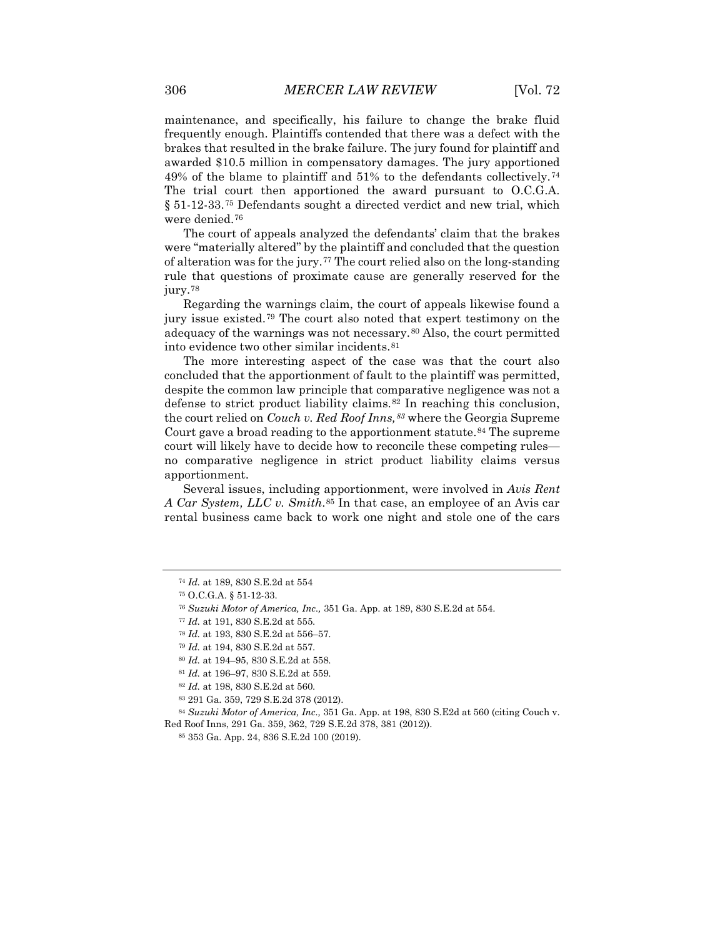maintenance, and specifically, his failure to change the brake fluid frequently enough. Plaintiffs contended that there was a defect with the brakes that resulted in the brake failure. The jury found for plaintiff and awarded \$10.5 million in compensatory damages. The jury apportioned 49% of the blame to plaintiff and 51% to the defendants collectively.[74](#page-8-0) The trial court then apportioned the award pursuant to O.C.G.A. § 51-12-33.[75](#page-8-1) Defendants sought a directed verdict and new trial, which were denied.[76](#page-8-2)

The court of appeals analyzed the defendants' claim that the brakes were "materially altered" by the plaintiff and concluded that the question of alteration was for the jury.[77](#page-8-3) The court relied also on the long-standing rule that questions of proximate cause are generally reserved for the jury.[78](#page-8-4)

Regarding the warnings claim, the court of appeals likewise found a jury issue existed.[79](#page-8-5) The court also noted that expert testimony on the adequacy of the warnings was not necessary.[80](#page-8-6) Also, the court permitted into evidence two other similar incidents.[81](#page-8-7)

The more interesting aspect of the case was that the court also concluded that the apportionment of fault to the plaintiff was permitted, despite the common law principle that comparative negligence was not a defense to strict product liability claims.[82](#page-8-8) In reaching this conclusion, the court relied on *Couch v. Red Roof Inns,[83](#page-8-9)* where the Georgia Supreme Court gave a broad reading to the apportionment statute.<sup>[84](#page-8-10)</sup> The supreme court will likely have to decide how to reconcile these competing rules no comparative negligence in strict product liability claims versus apportionment.

Several issues, including apportionment, were involved in *Avis Rent A Car System, LLC v. Smith*.[85](#page-8-11) In that case, an employee of an Avis car rental business came back to work one night and stole one of the cars

<span id="page-8-0"></span><sup>74</sup> *Id.* at 189, 830 S.E.2d at 554

<span id="page-8-2"></span><span id="page-8-1"></span><sup>75</sup> O.C.G.A. § 51-12-33.

<sup>76</sup> *Suzuki Motor of America, Inc.,* 351 Ga. App. at 189, 830 S.E.2d at 554.

<span id="page-8-3"></span><sup>77</sup> *Id.* at 191, 830 S.E.2d at 555.

<span id="page-8-4"></span><sup>78</sup> *Id.* at 193, 830 S.E.2d at 556–57.

<sup>79</sup> *Id.* at 194, 830 S.E.2d at 557.

<sup>80</sup> *Id.* at 194–95, 830 S.E.2d at 558.

<sup>81</sup> *Id.* at 196–97, 830 S.E.2d at 559.

<sup>82</sup> *Id.* at 198, 830 S.E.2d at 560.

<sup>83</sup> 291 Ga. 359, 729 S.E.2d 378 (2012).

<span id="page-8-11"></span><span id="page-8-10"></span><span id="page-8-9"></span><span id="page-8-8"></span><span id="page-8-7"></span><span id="page-8-6"></span><span id="page-8-5"></span><sup>84</sup> *Suzuki Motor of America, Inc.,* 351 Ga. App. at 198, 830 S.E2d at 560 (citing Couch v. Red Roof Inns, 291 Ga. 359, 362, 729 S.E.2d 378, 381 (2012)).

<sup>85</sup> 353 Ga. App. 24, 836 S.E.2d 100 (2019).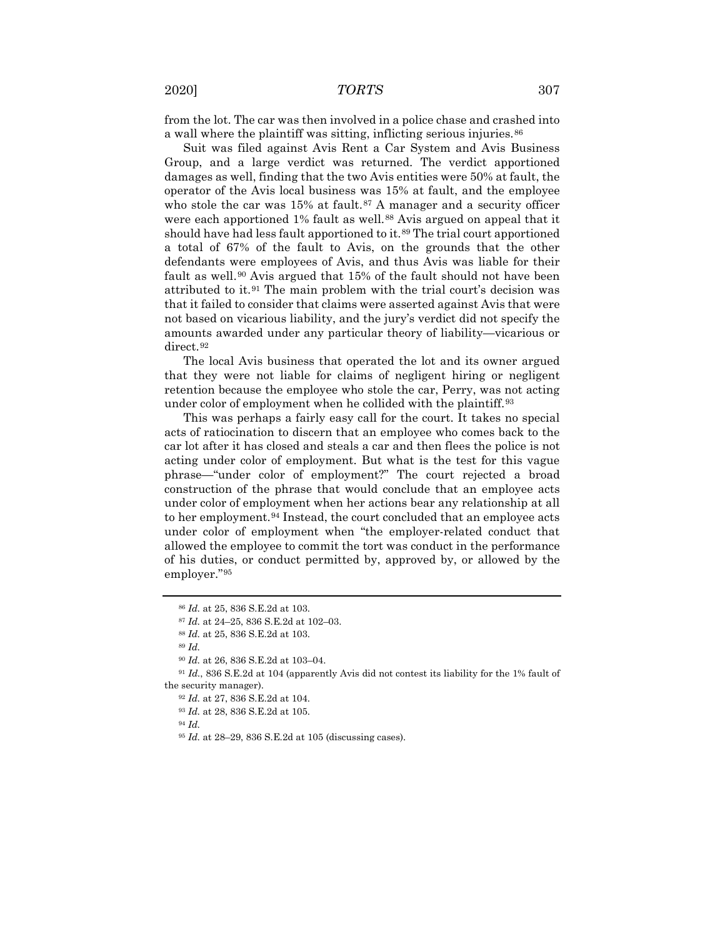from the lot. The car was then involved in a police chase and crashed into a wall where the plaintiff was sitting, inflicting serious injuries.<sup>[86](#page-9-0)</sup>

Suit was filed against Avis Rent a Car System and Avis Business Group, and a large verdict was returned. The verdict apportioned damages as well, finding that the two Avis entities were 50% at fault, the operator of the Avis local business was 15% at fault, and the employee who stole the car was  $15\%$  at fault.<sup>[87](#page-9-1)</sup> A manager and a security officer were each apportioned 1% fault as well.<sup>[88](#page-9-2)</sup> Avis argued on appeal that it should have had less fault apportioned to it.<sup>[89](#page-9-3)</sup> The trial court apportioned a total of 67% of the fault to Avis, on the grounds that the other defendants were employees of Avis, and thus Avis was liable for their fault as well.<sup>[90](#page-9-4)</sup> Avis argued that 15% of the fault should not have been attributed to it.[91](#page-9-5) The main problem with the trial court's decision was that it failed to consider that claims were asserted against Avis that were not based on vicarious liability, and the jury's verdict did not specify the amounts awarded under any particular theory of liability—vicarious or direct.<sup>[92](#page-9-6)</sup>

The local Avis business that operated the lot and its owner argued that they were not liable for claims of negligent hiring or negligent retention because the employee who stole the car, Perry, was not acting under color of employment when he collided with the plaintiff.<sup>[93](#page-9-7)</sup>

This was perhaps a fairly easy call for the court. It takes no special acts of ratiocination to discern that an employee who comes back to the car lot after it has closed and steals a car and then flees the police is not acting under color of employment. But what is the test for this vague phrase—"under color of employment?" The court rejected a broad construction of the phrase that would conclude that an employee acts under color of employment when her actions bear any relationship at all to her employment.<sup>[94](#page-9-8)</sup> Instead, the court concluded that an employee acts under color of employment when "the employer-related conduct that allowed the employee to commit the tort was conduct in the performance of his duties, or conduct permitted by, approved by, or allowed by the employer."[95](#page-9-9)

<sup>89</sup> *Id.* 

<sup>94</sup> *Id.*

<sup>86</sup> *Id.* at 25, 836 S.E.2d at 103.

<sup>87</sup> *Id.* at 24–25, 836 S.E.2d at 102–03.

<sup>88</sup> *Id.* at 25, 836 S.E.2d at 103.

<sup>90</sup> *Id.* at 26, 836 S.E.2d at 103–04.

<span id="page-9-9"></span><span id="page-9-8"></span><span id="page-9-7"></span><span id="page-9-6"></span><span id="page-9-5"></span><span id="page-9-4"></span><span id="page-9-3"></span><span id="page-9-2"></span><span id="page-9-1"></span><span id="page-9-0"></span><sup>91</sup> *Id.*, 836 S.E.2d at 104 (apparently Avis did not contest its liability for the 1% fault of the security manager).

<sup>92</sup> *Id.* at 27, 836 S.E.2d at 104.

<sup>93</sup> *Id.* at 28, 836 S.E.2d at 105.

<sup>95</sup> *Id.* at 28–29, 836 S.E.2d at 105 (discussing cases).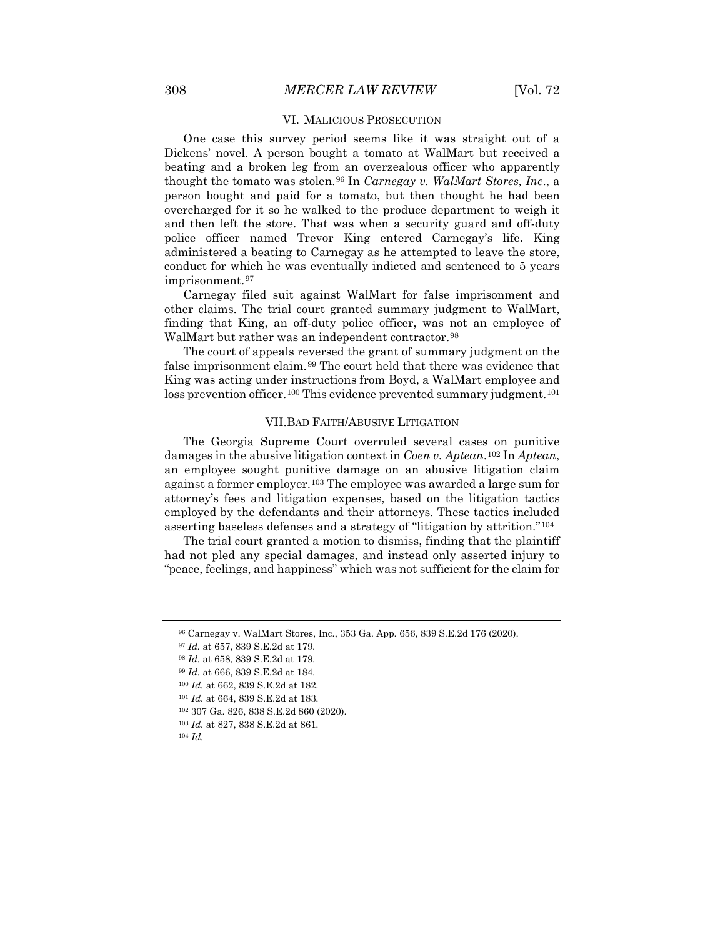### VI. MALICIOUS PROSECUTION

One case this survey period seems like it was straight out of a Dickens' novel. A person bought a tomato at WalMart but received a beating and a broken leg from an overzealous officer who apparently thought the tomato was stolen.[96](#page-10-0) In *Carnegay v. WalMart Stores, Inc*., a person bought and paid for a tomato, but then thought he had been overcharged for it so he walked to the produce department to weigh it and then left the store. That was when a security guard and off-duty police officer named Trevor King entered Carnegay's life. King administered a beating to Carnegay as he attempted to leave the store, conduct for which he was eventually indicted and sentenced to 5 years imprisonment.<sup>[97](#page-10-1)</sup>

Carnegay filed suit against WalMart for false imprisonment and other claims. The trial court granted summary judgment to WalMart, finding that King, an off-duty police officer, was not an employee of WalMart but rather was an independent contractor.<sup>[98](#page-10-2)</sup>

The court of appeals reversed the grant of summary judgment on the false imprisonment claim.[99](#page-10-3) The court held that there was evidence that King was acting under instructions from Boyd, a WalMart employee and loss prevention officer.<sup>[100](#page-10-4)</sup> This evidence prevented summary judgment.<sup>[101](#page-10-5)</sup>

## VII.BAD FAITH/ABUSIVE LITIGATION

The Georgia Supreme Court overruled several cases on punitive damages in the abusive litigation context in *Coen v. Aptean*.[102](#page-10-6) In *Aptean*, an employee sought punitive damage on an abusive litigation claim against a former employer.[103](#page-10-7) The employee was awarded a large sum for attorney's fees and litigation expenses, based on the litigation tactics employed by the defendants and their attorneys. These tactics included asserting baseless defenses and a strategy of "litigation by attrition."[104](#page-10-8)

The trial court granted a motion to dismiss, finding that the plaintiff had not pled any special damages, and instead only asserted injury to "peace, feelings, and happiness" which was not sufficient for the claim for

<span id="page-10-0"></span><sup>96</sup> Carnegay v. WalMart Stores, Inc., 353 Ga. App. 656, 839 S.E.2d 176 (2020).

<span id="page-10-2"></span><span id="page-10-1"></span><sup>97</sup> *Id.* at 657, 839 S.E.2d at 179.

<sup>98</sup> *Id.* at 658, 839 S.E.2d at 179.

<span id="page-10-3"></span><sup>99</sup> *Id.* at 666, 839 S.E.2d at 184.

<span id="page-10-4"></span><sup>100</sup> *Id.* at 662, 839 S.E.2d at 182.

<span id="page-10-5"></span><sup>101</sup> *Id.* at 664, 839 S.E.2d at 183.

<span id="page-10-6"></span><sup>102</sup> 307 Ga. 826, 838 S.E.2d 860 (2020).

<span id="page-10-7"></span><sup>103</sup> *Id.* at 827, 838 S.E.2d at 861.

<span id="page-10-8"></span><sup>104</sup> *Id.*